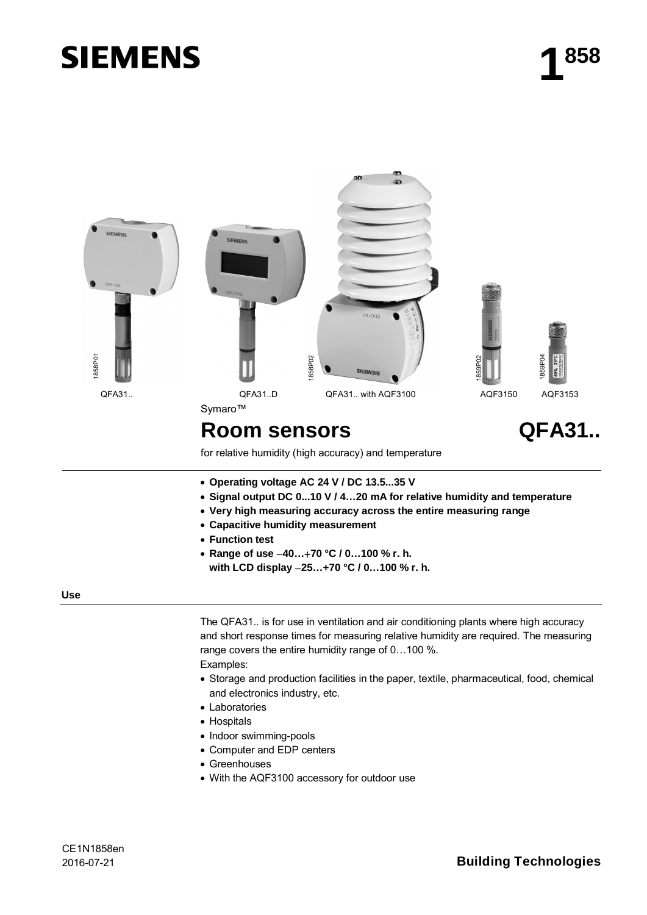# **SIEMENS**



for relative humidity (high accuracy) and temperature

- x **Operating voltage AC 24 V / DC 13.5...35 V**
- x **Signal output DC 0...10 V / 4…20 mA for relative humidity and temperature**
- x **Very high measuring accuracy across the entire measuring range**
- x **Capacitive humidity measurement**
- **Function test**
- x **Range of use 40…70 °C / 0…100 % r. h. with LCD display 25…+70 °C / 0…100 % r. h.**

#### **Use**

The QFA31.. is for use in ventilation and air conditioning plants where high accuracy and short response times for measuring relative humidity are required. The measuring range covers the entire humidity range of 0…100 %. Examples:

- Storage and production facilities in the paper, textile, pharmaceutical, food, chemical and electronics industry, etc.
- Laboratories
- Hospitals
- Indoor swimming-pools
- Computer and EDP centers
- Greenhouses
- With the AQF3100 accessory for outdoor use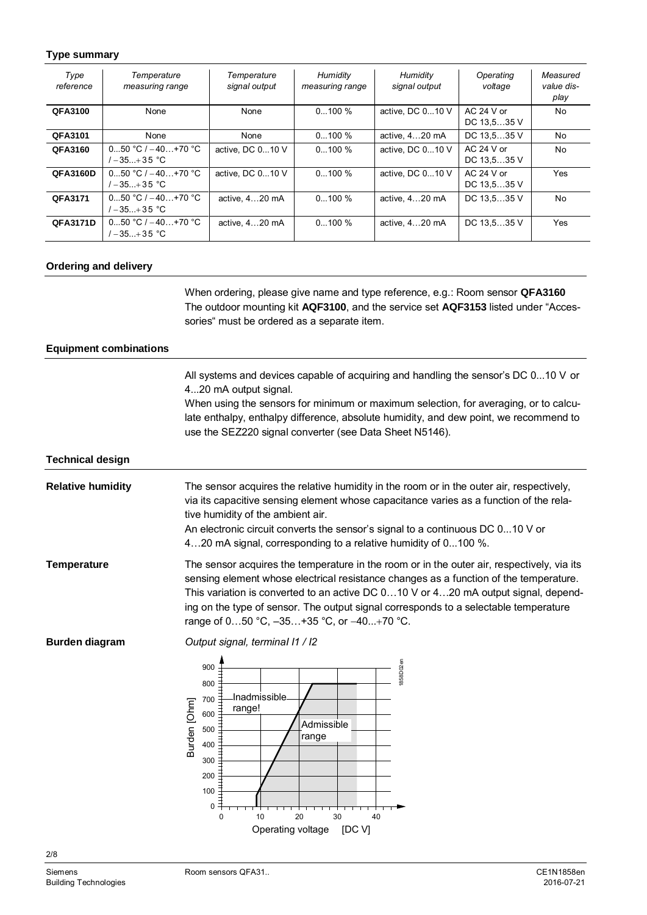## **Type summary**

| Type<br>reference | Temperature<br>measuring range             | Temperature<br>signal output | Humidity<br>measuring range | Humidity<br>signal output | Operating<br>voltage        | Measured<br>value dis-<br>play |
|-------------------|--------------------------------------------|------------------------------|-----------------------------|---------------------------|-----------------------------|--------------------------------|
| QFA3100           | None                                       | None                         | $0100 \%$                   | active, DC 010 V          | $AC$ 24 V or<br>DC 13,535 V | No                             |
| QFA3101           | None                                       | None                         | $0100 \%$                   | active, 420 mA            | DC 13,535 V                 | No                             |
| QFA3160           | $050 °C$ / $-40+70 °C$<br>$1 - 35 + 35$ °C | active, DC 010 V             | $0100 \%$                   | active, DC 010 V          | $AC$ 24 V or<br>DC 13,535 V | No                             |
| <b>QFA3160D</b>   | $050 °C$ / $-40+70 °C$<br>$1 - 35 + 35$ °C | active, DC 010 V             | $0100\%$                    | active, DC 010 V          | $AC$ 24 V or<br>DC 13,535 V | Yes                            |
| QFA3171           | $050 °C/-40+70 °C$<br>$1 - 35 + 35$ °C     | active, 420 mA               | $0100 \%$                   | active, 420 mA            | DC 13,535 V                 | N <sub>0</sub>                 |
| <b>QFA3171D</b>   | $050 °C/-40+70 °C$<br>/-35…+35 °C          | active, 420 mA               | $0100\%$                    | active, 420 mA            | DC 13,535 V                 | Yes                            |

#### **Ordering and delivery**

When ordering, please give name and type reference, e.g.: Room sensor **QFA3160** The outdoor mounting kit **AQF3100**, and the service set **AQF3153** listed under "Accessories" must be ordered as a separate item.

### **Equipment combinations**

All systems and devices capable of acquiring and handling the sensor's DC 0...10 V or 4...20 mA output signal.

When using the sensors for minimum or maximum selection, for averaging, or to calculate enthalpy, enthalpy difference, absolute humidity, and dew point, we recommend to use the SEZ220 signal converter (see Data Sheet N5146).

#### **Technical design**

The sensor acquires the relative humidity in the room or in the outer air, respectively, via its capacitive sensing element whose capacitance varies as a function of the relative humidity of the ambient air. An electronic circuit converts the sensor's signal to a continuous DC 0...10 V or 4…20 mA signal, corresponding to a relative humidity of 0...100 %. **Relative humidity**

The sensor acquires the temperature in the room or in the outer air, respectively, via its sensing element whose electrical resistance changes as a function of the temperature. This variation is converted to an active DC 0…10 V or 4…20 mA output signal, depending on the type of sensor. The output signal corresponds to a selectable temperature range of 0...50 °C, -35...+35 °C, or -40...+70 °C. **Temperature**

**Burden diagram**

*Output signal, terminaI I1 / I2*

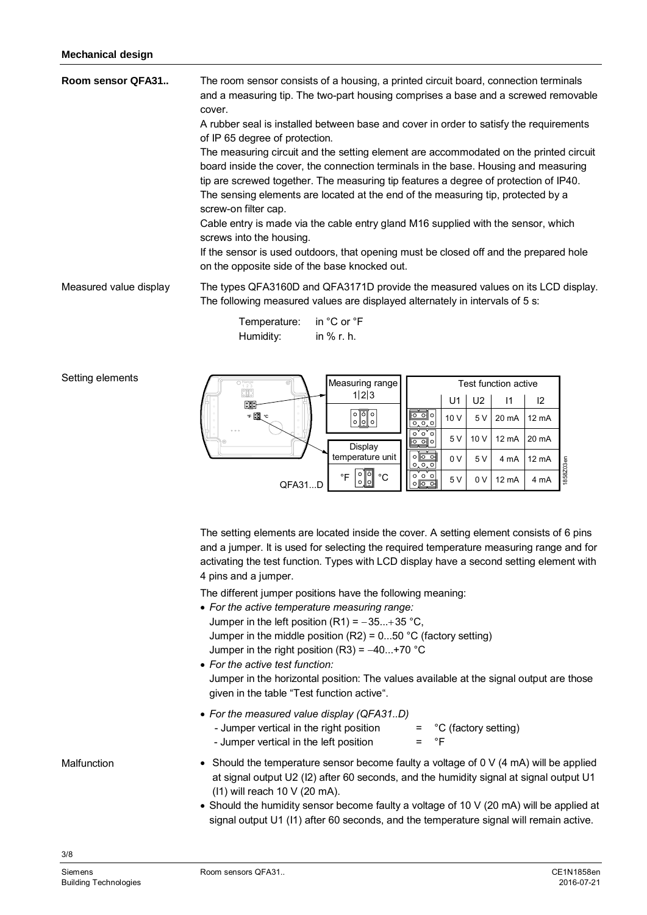Setting elements

| The room sensor consists of a housing, a printed circuit board, connection terminals<br>and a measuring tip. The two-part housing comprises a base and a screwed removable<br>cover.<br>A rubber seal is installed between base and cover in order to satisfy the requirements<br>of IP 65 degree of protection.<br>The measuring circuit and the setting element are accommodated on the printed circuit<br>board inside the cover, the connection terminals in the base. Housing and measuring<br>tip are screwed together. The measuring tip features a degree of protection of IP40.<br>The sensing elements are located at the end of the measuring tip, protected by a<br>screw-on filter cap.<br>Cable entry is made via the cable entry gland M16 supplied with the sensor, which<br>screws into the housing.<br>If the sensor is used outdoors, that opening must be closed off and the prepared hole<br>on the opposite side of the base knocked out. |
|-----------------------------------------------------------------------------------------------------------------------------------------------------------------------------------------------------------------------------------------------------------------------------------------------------------------------------------------------------------------------------------------------------------------------------------------------------------------------------------------------------------------------------------------------------------------------------------------------------------------------------------------------------------------------------------------------------------------------------------------------------------------------------------------------------------------------------------------------------------------------------------------------------------------------------------------------------------------|
| The types QFA3160D and QFA3171D provide the measured values on its LCD display.<br>The following measured values are displayed alternately in intervals of 5 s:                                                                                                                                                                                                                                                                                                                                                                                                                                                                                                                                                                                                                                                                                                                                                                                                 |
|                                                                                                                                                                                                                                                                                                                                                                                                                                                                                                                                                                                                                                                                                                                                                                                                                                                                                                                                                                 |

| Temperature: | in °C or °F  |
|--------------|--------------|
| Humidity:    | in $%$ r. h. |



The setting elements are located inside the cover. A setting element consists of 6 pins and a jumper. It is used for selecting the required temperature measuring range and for activating the test function. Types with LCD display have a second setting element with 4 pins and a jumper.

The different jumper positions have the following meaning:

- x *For the active temperature measuring range:* Jumper in the left position  $(R1) = -35...+35$  °C, Jumper in the middle position  $(R2) = 0...50$  °C (factory setting)
- Jumper in the right position  $(R3) = -40...+70$  °C x *For the active test function:*
- Jumper in the horizontal position: The values available at the signal output are those given in the table "Test function active".
- x *For the [measured](http://dict.leo.org/ende?lp=ende&p=eek2E.&search=measured) [value](http://dict.leo.org/ende?lp=ende&p=eek2E.&search=value) [display](http://dict.leo.org/ende?lp=ende&p=eek2E.&search=display) (QFA31..D)* - Jumper vertical in the right position  $=$   $^{\circ}C$  (factory setting) - Jumper vertical in the left position  $=$   $\degree$ F
- Should the temperature sensor become faulty a voltage of 0 V (4 mA) will be applied at signal output U2 (I2) after 60 seconds, and the humidity signal at signal output U1 (I1) will reach 10 V (20 mA).
- Should the humidity sensor become faulty a voltage of 10 V (20 mA) will be applied at signal output U1 (I1) after 60 seconds, and the temperature signal will remain active.

Malfunction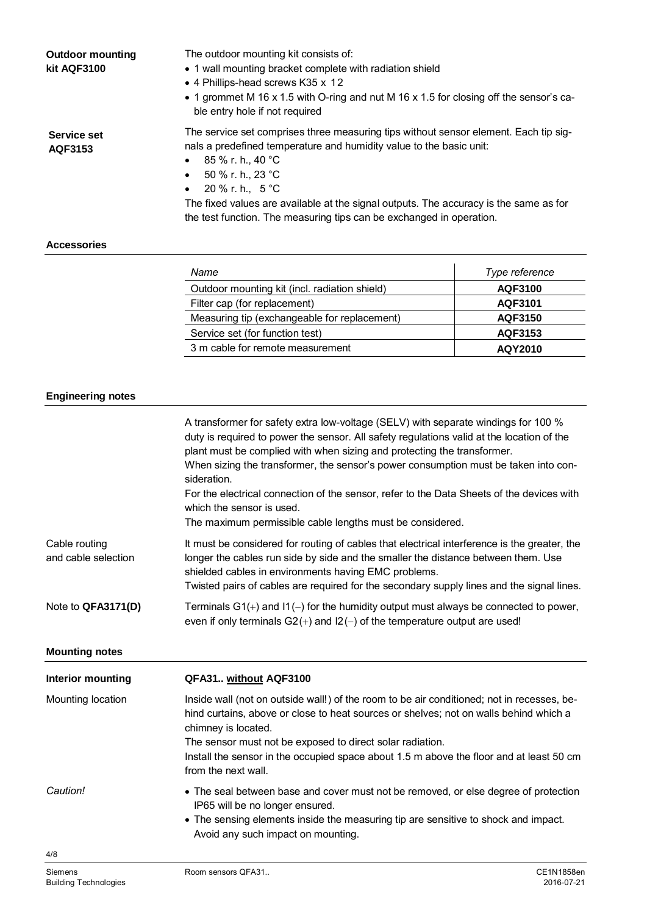| <b>Outdoor mounting</b><br>kit AQF3100 | The outdoor mounting kit consists of:<br>• 1 wall mounting bracket complete with radiation shield<br>• 4 Phillips-head screws K35 x 12<br>• 1 grommet M 16 x 1.5 with O-ring and nut M 16 x 1.5 for closing off the sensor's ca-<br>ble entry hole if not required                                                                                                                                                                  |
|----------------------------------------|-------------------------------------------------------------------------------------------------------------------------------------------------------------------------------------------------------------------------------------------------------------------------------------------------------------------------------------------------------------------------------------------------------------------------------------|
| Service set<br>AQF3153                 | The service set comprises three measuring tips without sensor element. Each tip sig-<br>nals a predefined temperature and humidity value to the basic unit:<br>85 % r. h., 40 °C<br>$\bullet$<br>50 % r. h., 23 °C<br>$\bullet$<br>$20\%$ r. h., 5 °C<br>$\bullet$<br>The fixed values are available at the signal outputs. The accuracy is the same as for<br>the test function. The measuring tips can be exchanged in operation. |

## **Accessories**

| Name                                          | Type reference |
|-----------------------------------------------|----------------|
| Outdoor mounting kit (incl. radiation shield) | AQF3100        |
| Filter cap (for replacement)                  | AQF3101        |
| Measuring tip (exchangeable for replacement)  | AQF3150        |
| Service set (for function test)               | AQF3153        |
| 3 m cable for remote measurement              | AQY2010        |

# **Engineering notes**

|                                      | A transformer for safety extra low-voltage (SELV) with separate windings for 100 %<br>duty is required to power the sensor. All safety regulations valid at the location of the<br>plant must be complied with when sizing and protecting the transformer.<br>When sizing the transformer, the sensor's power consumption must be taken into con-<br>sideration.<br>For the electrical connection of the sensor, refer to the Data Sheets of the devices with<br>which the sensor is used.<br>The maximum permissible cable lengths must be considered. |
|--------------------------------------|---------------------------------------------------------------------------------------------------------------------------------------------------------------------------------------------------------------------------------------------------------------------------------------------------------------------------------------------------------------------------------------------------------------------------------------------------------------------------------------------------------------------------------------------------------|
| Cable routing<br>and cable selection | It must be considered for routing of cables that electrical interference is the greater, the<br>longer the cables run side by side and the smaller the distance between them. Use<br>shielded cables in environments having EMC problems.<br>Twisted pairs of cables are required for the secondary supply lines and the signal lines.                                                                                                                                                                                                                  |
| Note to QFA3171(D)                   | Terminals $G1(+)$ and $11(-)$ for the humidity output must always be connected to power,<br>even if only terminals $G2(+)$ and $12(-)$ of the temperature output are used!                                                                                                                                                                                                                                                                                                                                                                              |
| <b>Mounting notes</b>                |                                                                                                                                                                                                                                                                                                                                                                                                                                                                                                                                                         |
| Interior mounting                    | QFA31 without AQF3100                                                                                                                                                                                                                                                                                                                                                                                                                                                                                                                                   |
| Mounting location                    | Inside wall (not on outside wall!) of the room to be air conditioned; not in recesses, be-<br>hind curtains, above or close to heat sources or shelves; not on walls behind which a<br>chimney is located.<br>The sensor must not be exposed to direct solar radiation.<br>Install the sensor in the occupied space about 1.5 m above the floor and at least 50 cm<br>from the next wall.                                                                                                                                                               |
| Caution!                             | • The seal between base and cover must not be removed, or else degree of protection<br>IP65 will be no longer ensured.<br>• The sensing elements inside the measuring tip are sensitive to shock and impact.<br>Avoid any such impact on mounting.                                                                                                                                                                                                                                                                                                      |
| 4/8                                  |                                                                                                                                                                                                                                                                                                                                                                                                                                                                                                                                                         |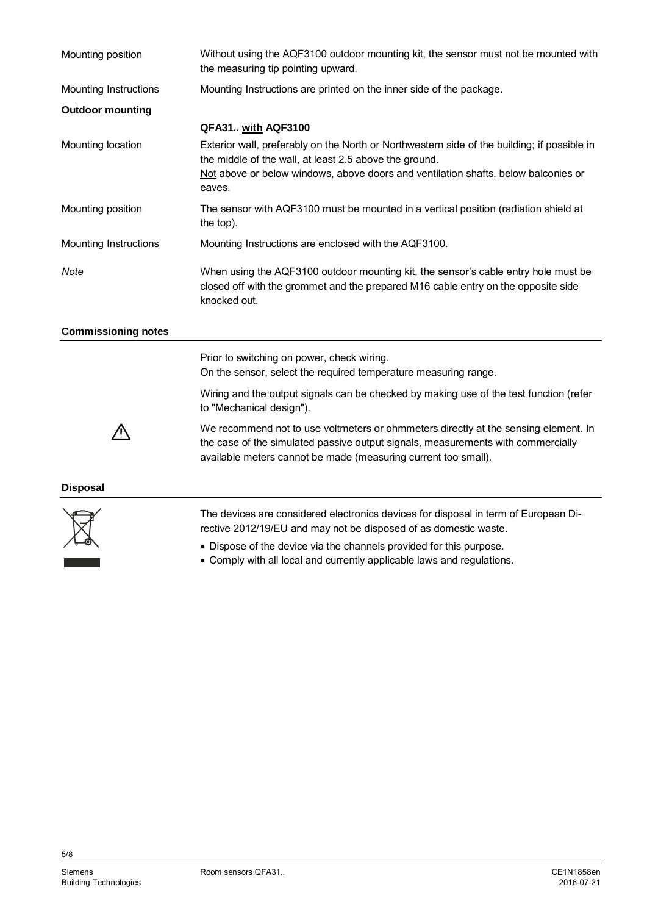| Mounting position            | Without using the AQF3100 outdoor mounting kit, the sensor must not be mounted with<br>the measuring tip pointing upward.                                                                                                                 |  |
|------------------------------|-------------------------------------------------------------------------------------------------------------------------------------------------------------------------------------------------------------------------------------------|--|
| <b>Mounting Instructions</b> | Mounting Instructions are printed on the inner side of the package.                                                                                                                                                                       |  |
| <b>Outdoor mounting</b>      |                                                                                                                                                                                                                                           |  |
|                              | QFA31 with AQF3100                                                                                                                                                                                                                        |  |
| Mounting location            | Exterior wall, preferably on the North or Northwestern side of the building; if possible in<br>the middle of the wall, at least 2.5 above the ground.                                                                                     |  |
|                              | Not above or below windows, above doors and ventilation shafts, below balconies or<br>eaves.                                                                                                                                              |  |
| Mounting position            | The sensor with AQF3100 must be mounted in a vertical position (radiation shield at<br>the top).                                                                                                                                          |  |
| Mounting Instructions        | Mounting Instructions are enclosed with the AQF3100.                                                                                                                                                                                      |  |
| Note                         | When using the AQF3100 outdoor mounting kit, the sensor's cable entry hole must be<br>closed off with the grommet and the prepared M16 cable entry on the opposite side<br>knocked out.                                                   |  |
| <b>Commissioning notes</b>   |                                                                                                                                                                                                                                           |  |
|                              | Prior to switching on power, check wiring.<br>On the sensor, select the required temperature measuring range.                                                                                                                             |  |
|                              | Wiring and the output signals can be checked by making use of the test function (refer<br>to "Mechanical design").                                                                                                                        |  |
|                              | We recommend not to use voltmeters or ohmmeters directly at the sensing element. In<br>the case of the simulated passive output signals, measurements with commercially<br>available meters cannot be made (measuring current too small). |  |
| <b>Disposal</b>              |                                                                                                                                                                                                                                           |  |
|                              |                                                                                                                                                                                                                                           |  |



The devices are considered electronics devices for disposal in term of European Directive 2012/19/EU and may not be disposed of as domestic waste.

- Dispose of the device via the channels provided for this purpose.
- Comply with all local and currently applicable laws and regulations.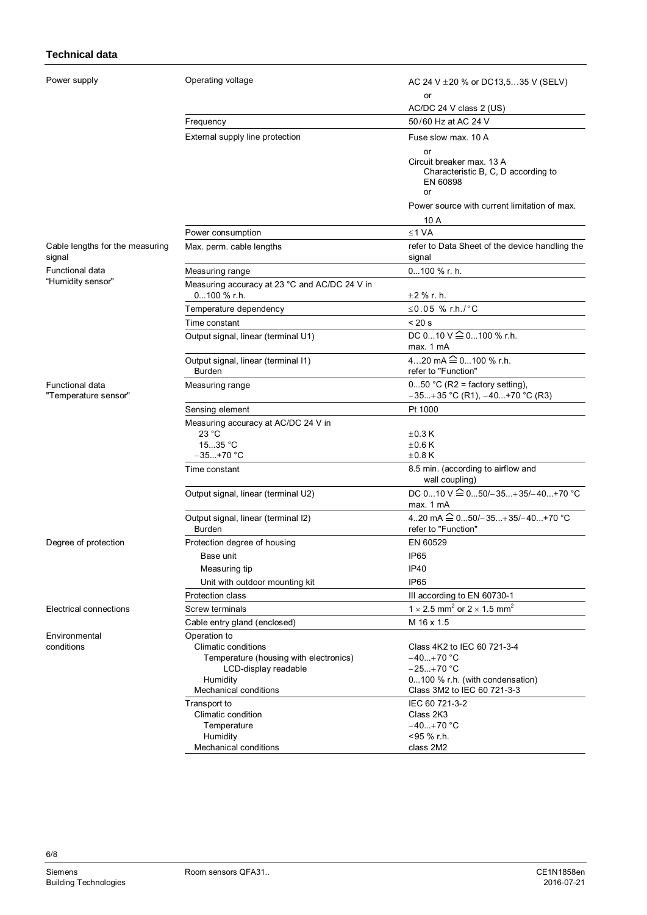## **Technical data**

Power

| Power supply                            | Operating voltage                                               | AC 24 V $\pm$ 20 % or DC13,535 V (SELV)                                                         |
|-----------------------------------------|-----------------------------------------------------------------|-------------------------------------------------------------------------------------------------|
|                                         |                                                                 | or                                                                                              |
|                                         |                                                                 | AC/DC 24 V class 2 (US)                                                                         |
|                                         | Frequency                                                       | 50/60 Hz at AC 24 V                                                                             |
|                                         | External supply line protection                                 | Fuse slow max, 10 A                                                                             |
|                                         |                                                                 |                                                                                                 |
|                                         |                                                                 | <b>or</b><br>Circuit breaker max. 13 A<br>Characteristic B, C, D according to<br>EN 60898<br>or |
|                                         |                                                                 | Power source with current limitation of max.<br>10 A                                            |
|                                         | Power consumption                                               | $≤1 VA$                                                                                         |
| Cable lengths for the measuring         |                                                                 | refer to Data Sheet of the device handling the                                                  |
| signal                                  | Max. perm. cable lengths                                        | signal                                                                                          |
| Functional data                         | Measuring range                                                 | 0100 % r. h.                                                                                    |
| "Humidity sensor"                       | Measuring accuracy at 23 °C and AC/DC 24 V in<br>$0100 \%$ r.h. | $\pm 2$ % r. h.                                                                                 |
|                                         | Temperature dependency                                          | ≤0.05 % r.h./°C                                                                                 |
|                                         | Time constant                                                   | < 20 s                                                                                          |
|                                         | Output signal, linear (terminal U1)                             | DC $010 \vee 20100$ % r.h.<br>max. 1 mA                                                         |
|                                         | Output signal, linear (terminal I1)<br><b>Burden</b>            | 420 mA <sup>2</sup> 0100 % r.h.<br>refer to "Function"                                          |
| Functional data<br>"Temperature sensor" | Measuring range                                                 | $050$ °C (R2 = factory setting),<br>$-35+35$ °C (R1), $-40+70$ °C (R3)                          |
|                                         | Sensing element                                                 | Pt 1000                                                                                         |
|                                         | Measuring accuracy at AC/DC 24 V in                             |                                                                                                 |
|                                         | 23 °C                                                           | $\pm$ 0.3 K                                                                                     |
|                                         | 1535 °C<br>$-35+70 °C$                                          | $\pm 0.6$ K                                                                                     |
|                                         |                                                                 | $\pm 0.8$ K                                                                                     |
|                                         | Time constant                                                   | 8.5 min. (according to airflow and<br>wall coupling)                                            |
|                                         | Output signal, linear (terminal U2)                             | DC 010 V $\hat{=}$ 050/-35+35/-40+70 °C<br>max. 1 mA                                            |
|                                         | Output signal, linear (terminal I2)<br>Burden                   | 420 mA $\widehat{=}$ 050/-35+35/-40+70 °C<br>refer to "Function"                                |
| Degree of protection                    | Protection degree of housing                                    | EN 60529                                                                                        |
|                                         | Base unit                                                       | IP <sub>65</sub>                                                                                |
|                                         | Measuring tip                                                   | <b>IP40</b>                                                                                     |
|                                         | Unit with outdoor mounting kit                                  | IP <sub>65</sub>                                                                                |
|                                         | Protection class                                                | III according to EN 60730-1                                                                     |
| Electrical connections                  | Screw terminals                                                 | 1 $\times$ 2.5 mm <sup>2</sup> or 2 $\times$ 1.5 mm <sup>2</sup>                                |
|                                         | Cable entry gland (enclosed)                                    | M 16 x 1.5                                                                                      |
| Environmental                           | Operation to                                                    |                                                                                                 |
| conditions                              | Climatic conditions                                             | Class 4K2 to IEC 60 721-3-4                                                                     |
|                                         | Temperature (housing with electronics)<br>LCD-display readable  | –40…+70 °C<br>$-25+70 °C$                                                                       |
|                                         | Humidity                                                        | 0100 % r.h. (with condensation)                                                                 |
|                                         | Mechanical conditions                                           | Class 3M2 to IEC 60 721-3-3                                                                     |
|                                         | Transport to                                                    | IEC 60 721-3-2                                                                                  |
|                                         | Climatic condition                                              | Class 2K3                                                                                       |
|                                         | Temperature                                                     | $-40+70$ °C                                                                                     |
|                                         | Humidity                                                        | <95 % r.h.                                                                                      |
|                                         | Mechanical conditions                                           | class 2M2                                                                                       |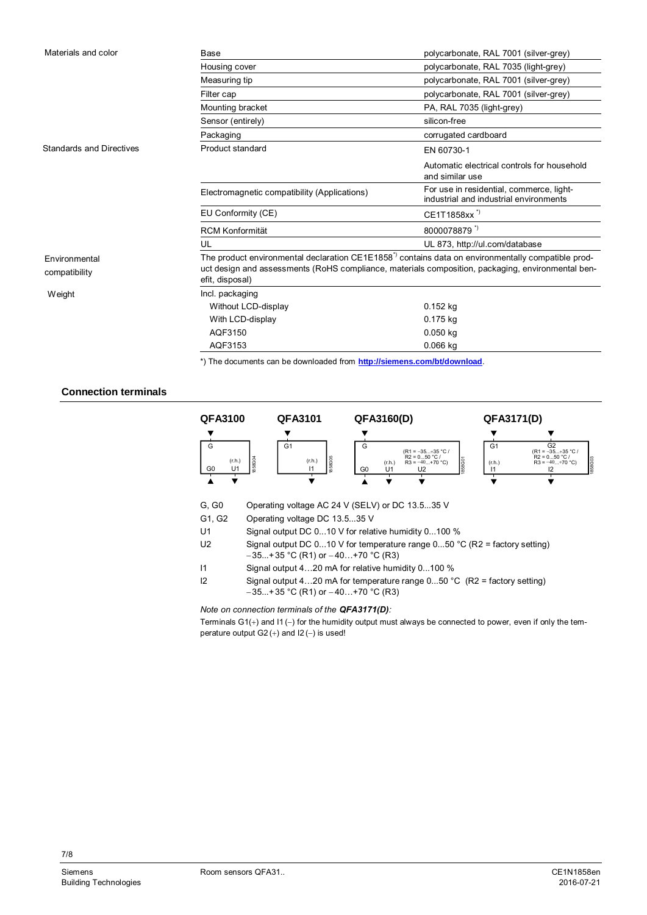| Materials and color             | Base                                                                                                                                                                                                                                  | polycarbonate, RAL 7001 (silver-grey)                                              |
|---------------------------------|---------------------------------------------------------------------------------------------------------------------------------------------------------------------------------------------------------------------------------------|------------------------------------------------------------------------------------|
|                                 | Housing cover                                                                                                                                                                                                                         | polycarbonate, RAL 7035 (light-grey)                                               |
|                                 | Measuring tip                                                                                                                                                                                                                         | polycarbonate, RAL 7001 (silver-grey)                                              |
|                                 | Filter cap                                                                                                                                                                                                                            | polycarbonate, RAL 7001 (silver-grey)                                              |
|                                 | Mounting bracket                                                                                                                                                                                                                      | PA, RAL 7035 (light-grey)                                                          |
|                                 | Sensor (entirely)                                                                                                                                                                                                                     | silicon-free                                                                       |
|                                 | Packaging                                                                                                                                                                                                                             | corrugated cardboard                                                               |
| <b>Standards and Directives</b> | Product standard                                                                                                                                                                                                                      | EN 60730-1                                                                         |
|                                 |                                                                                                                                                                                                                                       | Automatic electrical controls for household<br>and similar use                     |
|                                 | Electromagnetic compatibility (Applications)                                                                                                                                                                                          | For use in residential, commerce, light-<br>industrial and industrial environments |
|                                 | EU Conformity (CE)                                                                                                                                                                                                                    | CE1T1858xx <sup>"</sup>                                                            |
|                                 | <b>RCM Konformität</b>                                                                                                                                                                                                                | 8000078879                                                                         |
|                                 | UL                                                                                                                                                                                                                                    | UL 873, http://ul.com/database                                                     |
| Environmental<br>compatibility  | The product environmental declaration CE1E1858 <sup>"</sup> contains data on environmentally compatible prod-<br>uct design and assessments (RoHS compliance, materials composition, packaging, environmental ben-<br>efit, disposal) |                                                                                    |
| Weight                          | Incl. packaging                                                                                                                                                                                                                       |                                                                                    |
|                                 | Without LCD-display                                                                                                                                                                                                                   | $0.152$ kg                                                                         |
|                                 | With LCD-display                                                                                                                                                                                                                      | 0.175 kg                                                                           |
|                                 | AQF3150                                                                                                                                                                                                                               | $0.050$ kg                                                                         |
|                                 | AQF3153                                                                                                                                                                                                                               | $0.066$ kg                                                                         |

\*) The documents can be downloaded from **<http://siemens.com/bt/download>**.

# **Connection terminals**

| <b>QFA3100</b>                   | QFA3101                            | QFA3160(D)                                                               | QFA3171(D)                                                                                                                   |
|----------------------------------|------------------------------------|--------------------------------------------------------------------------|------------------------------------------------------------------------------------------------------------------------------|
|                                  |                                    |                                                                          |                                                                                                                              |
| G<br>1858G04<br>(r.h.)           | G <sub>1</sub><br>క<br>(r.h.)<br>œ | G<br>$(R1 = -35+35 °C)$<br>$R2 = 050 °C/$<br>$R3 = -40+70$ °C)<br>(r.h.) | G <sub>2</sub><br>G <sub>1</sub><br>$(R1 = -35+35 °C)$<br>$R2 = 050 °C/$<br>1858G03<br>858G01<br>$R3 = -40+70$ °C)<br>(r.h.) |
| G <sub>0</sub><br>U <sub>1</sub> | m<br>$\ddot{\circ}$                | G <sub>0</sub><br>U1<br>U2                                               |                                                                                                                              |
|                                  |                                    |                                                                          |                                                                                                                              |

- G, G0 Operating voltage AC 24 V (SELV) or DC 13.5...35 V
- G1, G2 Operating voltage DC 13.5...35 V
- U1 Signal output DC 0...10 V for relative humidity 0...100 %
- U2 Signal output DC 0...10 V for temperature range 0...50 °C (R2 = factory setting)  $-35...+35$  °C (R1) or  $-40...+70$  °C (R3)
- I1 Signal output 4…20 mA for relative humidity 0...100 %
- I2 Signal output 4…20 mA for temperature range 0...50 °C (R2 = factory setting)  $-35...+35$  °C (R1) or  $-40...+70$  °C (R3)

*Note on connection terminals of the QFA3171(D):*

Terminals  $G1(+)$  and  $11(-)$  for the humidity output must always be connected to power, even if only the temperature output  $G2 (+)$  and  $12 (-)$  is used!